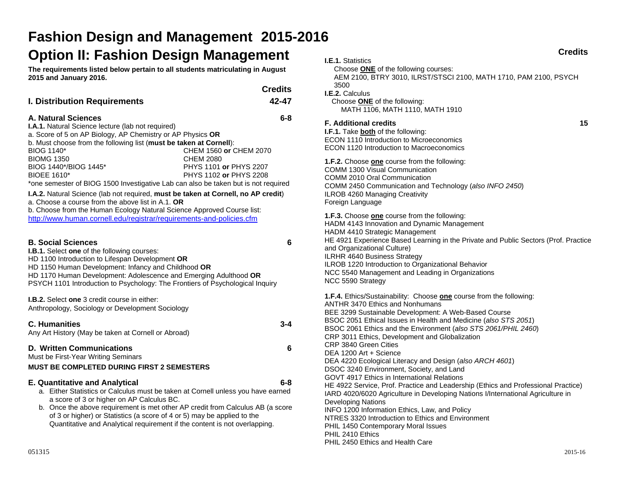# **Fashion Design and Management 2015-2016 Option II: Fashion Design Management**

**The requirements listed below pertain to all students matriculating in August 2015 and January 2016.** 

|                                     | <b>Credits</b> |
|-------------------------------------|----------------|
| <b>I. Distribution Requirements</b> | 42-47          |

#### **A. Natural Sciences 6-8**

**I.A.1.** Natural Science lecture (lab not required) a. Score of 5 on AP Biology, AP Chemistry or AP Physics **OR** b. Must choose from the following list (**must be taken at Cornell**): BIOG 1140\* CHEM 1560 **or** CHEM 2070 BIOMG 1350 CHEM 2080 BIOG 1440\*/BIOG 1445\* PHYS 1101 **or** PHYS 2207 BIOEE 1610\* PHYS 1102 **or** PHYS 2208 \*one semester of BIOG 1500 Investigative Lab can also be taken but is not required

**I.A.2.** Natural Science (lab not required, **must be taken at Cornell, no AP credit**)

a. Choose a course from the above list in A.1. **OR**

b. Choose from the Human Ecology Natural Science Approved Course list: http://www.human.cornell.edu/registrar/requirements-and-policies.cfm

#### **B. Social Sciences 6**

**I.B.1.** Select **one** of the following courses:

HD 1100 Introduction to Lifespan Development **OR**

HD 1150 Human Development: Infancy and Childhood **OR** 

HD 1170 Human Development: Adolescence and Emerging Adulthood **OR**  PSYCH 1101 Introduction to Psychology: The Frontiers of Psychological Inquiry

**I.B.2.** Select **one** 3 credit course in either:

Anthropology, Sociology or Development Sociology

#### **C. Humanities 3-4**

Any Art History (May be taken at Cornell or Abroad)

# **D. Written Communications 6**

Must be First-Year Writing Seminars

## **MUST BE COMPLETED DURING FIRST 2 SEMESTERS**

# **E. Quantitative and Analytical 6-8**

- 
- a. Either Statistics or Calculus must be taken at Cornell unless you have earned a score of 3 or higher on AP Calculus BC.
- b. Once the above requirement is met other AP credit from Calculus AB (a score of 3 or higher) or Statistics (a score of 4 or 5) may be applied to the Quantitative and Analytical requirement if the content is not overlapping.

| <b>Credits</b>                                                                                                                                                                                                                                                                                                                                                                                                            |    |
|---------------------------------------------------------------------------------------------------------------------------------------------------------------------------------------------------------------------------------------------------------------------------------------------------------------------------------------------------------------------------------------------------------------------------|----|
| <b>I.E.1. Statistics</b><br>Choose <b>ONE</b> of the following courses:<br>AEM 2100, BTRY 3010, ILRST/STSCI 2100, MATH 1710, PAM 2100, PSYCH<br>3500<br>I.E.2. Calculus<br>Choose <b>ONE</b> of the following:<br>MATH 1106, MATH 1110, MATH 1910                                                                                                                                                                         |    |
| <b>F. Additional credits</b><br><b>I.F.1.</b> Take both of the following:<br>ECON 1110 Introduction to Microeconomics<br>ECON 1120 Introduction to Macroeconomics                                                                                                                                                                                                                                                         | 15 |
| <b>1.F.2.</b> Choose one course from the following:<br>COMM 1300 Visual Communication<br>COMM 2010 Oral Communication<br>COMM 2450 Communication and Technology (also INFO 2450)<br><b>ILROB 4260 Managing Creativity</b><br>Foreign Language                                                                                                                                                                             |    |
| 1.F.3. Choose one course from the following:<br>HADM 4143 Innovation and Dynamic Management<br>HADM 4410 Strategic Management<br>HE 4921 Experience Based Learning in the Private and Public Sectors (Prof. Practice<br>and Organizational Culture)<br><b>ILRHR 4640 Business Strategy</b><br>ILROB 1220 Introduction to Organizational Behavior<br>NCC 5540 Management and Leading in Organizations<br>NCC 5590 Strategy |    |
| <b>1.F.4.</b> Ethics/Sustainability: Choose <b>one</b> course from the following:<br><b>ANTHR 3470 Ethics and Nonhumans</b><br>BEE 3299 Sustainable Development: A Web-Based Course                                                                                                                                                                                                                                       |    |

BSOC 2051 Ethical Issues in Health and Medicine (*also STS 2051*) BSOC 2061 Ethics and the Environment (*also STS 2061/PHIL 2460*) CRP 3011 Ethics, Development and Globalization CRP 3840 Green Cities DEA 1200 Art + Science DEA 4220 Ecological Literacy and Design (*also ARCH 4601*) DSOC 3240 Environment, Society, and Land GOVT 4917 Ethics in International Relations HE 4922 Service, Prof. Practice and Leadership (Ethics and Professional Practice) IARD 4020/6020 Agriculture in Developing Nations I/International Agriculture in Developing Nations INFO 1200 Information Ethics, Law, and Policy NTRES 3320 Introduction to Ethics and Environment PHIL 1450 Contemporary Moral Issues PHIL 2410 Ethics PHIL 2450 Ethics and Health Care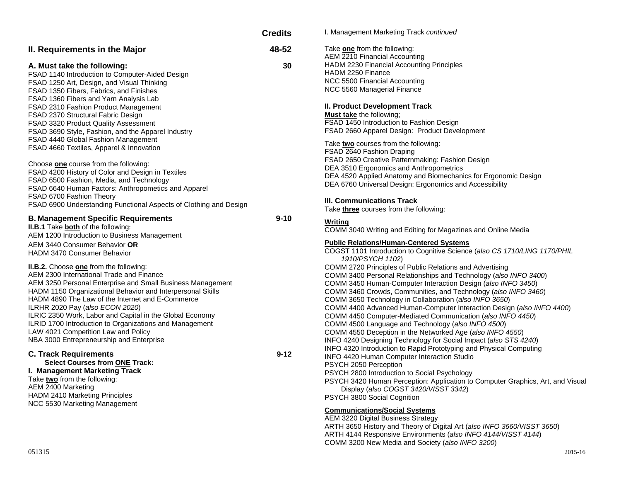|                                                                   | <b>Credits</b> | I. Management Marketing Track continued                                                                          |
|-------------------------------------------------------------------|----------------|------------------------------------------------------------------------------------------------------------------|
| II. Requirements in the Major                                     | 48-52          | Take one from the following:<br>AEM 2210 Financial Accounting                                                    |
| A. Must take the following:                                       | 30             | HADM 2230 Financial Accounting Principles                                                                        |
| FSAD 1140 Introduction to Computer-Aided Design                   |                | HADM 2250 Finance                                                                                                |
| FSAD 1250 Art, Design, and Visual Thinking                        |                | NCC 5500 Financial Accounting                                                                                    |
| FSAD 1350 Fibers, Fabrics, and Finishes                           |                | NCC 5560 Managerial Finance                                                                                      |
| FSAD 1360 Fibers and Yarn Analysis Lab                            |                |                                                                                                                  |
| FSAD 2310 Fashion Product Management                              |                | II. Product Development Track                                                                                    |
|                                                                   |                | <b>Must take</b> the following;                                                                                  |
| FSAD 2370 Structural Fabric Design                                |                | FSAD 1450 Introduction to Fashion Design                                                                         |
| <b>FSAD 3320 Product Quality Assessment</b>                       |                | FSAD 2660 Apparel Design: Product Development                                                                    |
| FSAD 3690 Style, Fashion, and the Apparel Industry                |                |                                                                                                                  |
| FSAD 4440 Global Fashion Management                               |                | Take two courses from the following:                                                                             |
| FSAD 4660 Textiles, Apparel & Innovation                          |                | FSAD 2640 Fashion Draping                                                                                        |
|                                                                   |                | FSAD 2650 Creative Patternmaking: Fashion Design                                                                 |
| Choose one course from the following:                             |                | DEA 3510 Ergonomics and Anthropometrics                                                                          |
| FSAD 4200 History of Color and Design in Textiles                 |                | DEA 4520 Applied Anatomy and Biomechanics for Ergonomic Design                                                   |
| FSAD 6500 Fashion, Media, and Technology                          |                | DEA 6760 Universal Design: Ergonomics and Accessibility                                                          |
| FSAD 6640 Human Factors: Anthropometics and Apparel               |                |                                                                                                                  |
| FSAD 6700 Fashion Theory                                          |                |                                                                                                                  |
| FSAD 6900 Understanding Functional Aspects of Clothing and Design |                | III. Communications Track<br>Take three courses from the following:                                              |
| <b>B. Management Specific Requirements</b>                        | $9 - 10$       | Writina                                                                                                          |
| <b>II.B.1</b> Take both of the following:                         |                | COMM 3040 Writing and Editing for Magazines and Online Media                                                     |
| AEM 1200 Introduction to Business Management                      |                |                                                                                                                  |
| AEM 3440 Consumer Behavior OR                                     |                | <b>Public Relations/Human-Centered Systems</b>                                                                   |
| <b>HADM 3470 Consumer Behavior</b>                                |                | COGST 1101 Introduction to Cognitive Science (also CS 1710/LING 1170/PHIL                                        |
|                                                                   |                | 1910/PSYCH 1102)                                                                                                 |
| <b>II.B.2.</b> Choose <b>one</b> from the following:              |                | COMM 2720 Principles of Public Relations and Advertising                                                         |
| AEM 2300 International Trade and Finance                          |                | COMM 3400 Personal Relationships and Technology (also INFO 3400)                                                 |
| AEM 3250 Personal Enterprise and Small Business Management        |                | COMM 3450 Human-Computer Interaction Design (also INFO 3450)                                                     |
| HADM 1150 Organizational Behavior and Interpersonal Skills        |                | COMM 3460 Crowds, Communities, and Technology (also INFO 3460)                                                   |
| HADM 4890 The Law of the Internet and E-Commerce                  |                | COMM 3650 Technology in Collaboration (also INFO 3650)                                                           |
| ILRHR 2020 Pay (also ECON 2020)                                   |                | COMM 4400 Advanced Human-Computer Interaction Design (also INFO 4400)                                            |
| ILRIC 2350 Work, Labor and Capital in the Global Economy          |                |                                                                                                                  |
| ILRID 1700 Introduction to Organizations and Management           |                | COMM 4450 Computer-Mediated Communication (also INFO 4450)<br>COMM 4500 Language and Technology (also INFO 4500) |
|                                                                   |                |                                                                                                                  |
| LAW 4021 Competition Law and Policy                               |                | COMM 4550 Deception in the Networked Age (also INFO 4550)                                                        |
| NBA 3000 Entrepreneurship and Enterprise                          |                | INFO 4240 Designing Technology for Social Impact (also STS 4240)                                                 |
| <b>C. Track Requirements</b>                                      | $9 - 12$       | INFO 4320 Introduction to Rapid Prototyping and Physical Computing                                               |
| <b>Select Courses from ONE Track:</b>                             |                | INFO 4420 Human Computer Interaction Studio                                                                      |
|                                                                   |                | PSYCH 2050 Perception                                                                                            |
| I. Management Marketing Track                                     |                | PSYCH 2800 Introduction to Social Psychology                                                                     |
| Take two from the following:                                      |                | PSYCH 3420 Human Perception: Application to Computer Graphics, Art, and Visual                                   |
| AEM 2400 Marketing                                                |                | Display (also COGST 3420/VISST 3342)                                                                             |
| HADM 2410 Marketing Principles                                    |                | PSYCH 3800 Social Cognition                                                                                      |
| NCC 5530 Marketing Management                                     |                | <b>Communications/Social Systems</b>                                                                             |
|                                                                   |                | AEM 3220 Digital Business Strategy                                                                               |
|                                                                   |                | ARTH 3650 History and Theory of Digital Art (also INFO 3660/VISST 3650)                                          |
|                                                                   |                | ARTH 4144 Responsive Environments (also INFO 4144/VISST 4144)                                                    |
|                                                                   |                |                                                                                                                  |

COMM 3200 New Media and Society (*also INFO 3200*)